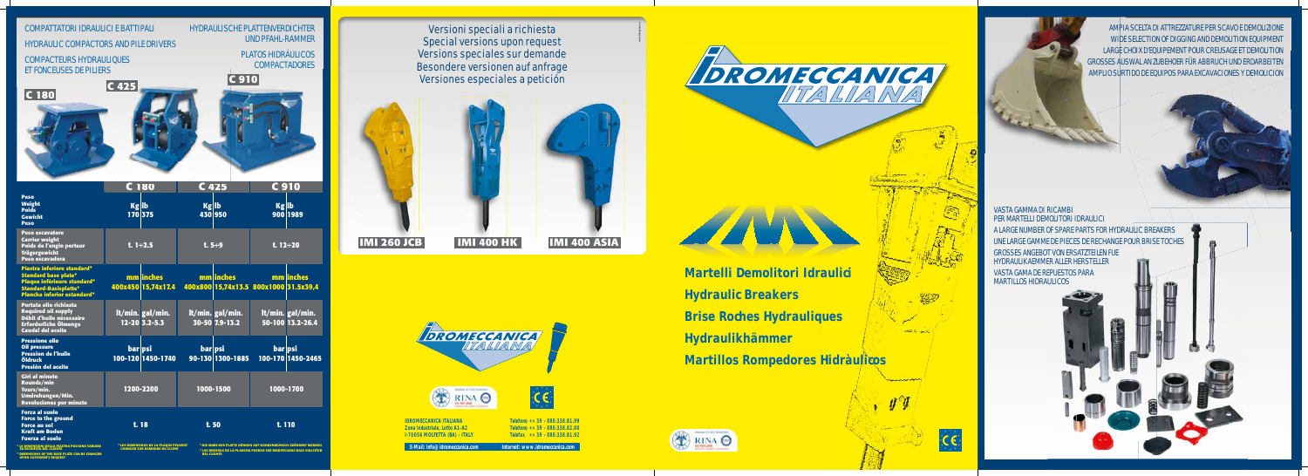

**IDROMECCANICA ITALIANA Zona Industriale, Lotto A1-A2 I-70056 MOLFETTA (BA) - ITALY**

**Telefono ++ 39 - 080.338.81.99 Telefono ++ 39 - 080.338.82.00 Telefax ++ 39 - 080.338.81.92**

**E-Mail: info@idromeccanica.com Internet: www.idromeccanica.com**





Versioni speciali a richiesta Special versions upon request Versions speciales sur demande Besondere versionen auf anfrage Versiones especiales a petición



|                                                                                                                                                                        |         | C 180                             | C 425        |                                                     |                 | <b>C910</b>                          |
|------------------------------------------------------------------------------------------------------------------------------------------------------------------------|---------|-----------------------------------|--------------|-----------------------------------------------------|-----------------|--------------------------------------|
| <b>Peso</b><br><b>Weight</b><br><b>Poids</b><br><b>Gewicht</b><br><b>Peso</b>                                                                                          | Kg Ib   | 170 375                           | <b>Kg</b> Ib | 430 950                                             | Kg Ib           | 900 1989                             |
| <b>Peso escavatore</b><br><b>Carrier weight</b><br>Poids de l'engin porteur<br><b>Trägergewicht</b><br>Peso escavadora                                                 |         | $t. 1 \div 2.5$                   |              | $t.5 \div 9$                                        | t. $12 \div 20$ |                                      |
| <b>Piastra inferiore standard*</b><br><b>Standard base plate*</b><br>Plaque inférieure standard*<br><b>Standard-Basisplatte*</b><br><b>Plancha inferior estandard*</b> |         | mm inches<br>400x450 15,74x17.4   |              | mm linches<br>400x800 15,74x13.5 800x1000 31.5x39,4 |                 | mm inches                            |
| Portata olio richiesta<br><b>Required oil supply</b><br>Débit d'huile nécessaire<br><b>Erforderliche Ölmenge</b><br><b>Caudal del aceite</b>                           |         | It/min. gal/min.<br>12-20 3.2-5.3 |              | It/min. gal/min.<br>30-50 7.9-13.2                  |                 | It/min. gal/min.<br>50-100 13.2-26.4 |
| <b>Pressione olio</b><br><b>Oil pressure</b><br><b>Pression de l'huile</b><br><b>Öldruck</b><br>Presión del aceite                                                     | bar psi | 100-120 1450-1740                 | bar psi      | 90-130 1300-1885                                    | bar psi         | 100-170 1450-2465                    |
| <b>Giri al minuto</b><br>Rounds/min<br>Tours/min.<br>Umdrehungen/Min.<br><b>Revoluciones por minuto</b>                                                                |         | 1200-2200                         |              | 1000-1500                                           |                 | 1000-1700                            |
| <b>Forza al suolo</b><br><b>Force to the ground</b><br><b>Force au sol</b><br><b>Kraft am Boden</b><br><b>Fuerza al suelo</b>                                          |         | t.18                              | t. 50        |                                                     | t. 110          |                                      |



**www.litopress.eu**



**\* LE DIMENSIONI DELLA PIASTRA POSSONO VARIARE SU RICHIESTA DEL CLIENTE \* DIMENSIONS OF THE BASE PLATE CAN BE CHANGED UPON CUSTOMER'S REQUEST** **\* LES DIMENSIONS DE LA PLAQUE PEUVENT CHANGER SUR DEMANDE DU CLIENT**

**\* DIE MAßE DER PLATTE KÖNNEN AUF KUNDENWUNSCH GEÄNDERT WERDEN \* LAS MEDIDAS DE LA PLANCHA PUEDEN SER MODIFICADAS BAJO SOLICITUD DEL CLIENTE**

# VASTA GAMMA DI RICAMBI PER MARTELLI DEMOLITORI IDRAULICI

A LARGE NUMBER OF SPARE PARTS FOR HYDRAULIC BREAKERS UNE LARGE GAMME DE PIECES DE RECHANGE POUR BRISE TOCHES GROSSES ANGEBOT VON ERSATZTEILEN FUE

HYDRAULIKAEMMER ALLER HERSTELLER

VASTA GAMA DE REPUESTOS PARA MARTILLOS HIDRAULICOS

AMPIA SCELTA DI ATTREZZATURE PER SCAVO E DEMOLIZIONE WIDE SELECTION OF DIGGING AND DEMOLITION EQUIPMENT LARGE CHOIX D'EQUIPEMENT POUR CREUSAGE ET DEMOLITION GROSSES AUSWAL AN ZUBEHOER FÜR ABBRUCH UND ERDARBEITEN AMPLIO SURTIDO DE EQUIPOS PARA EXCAVACIONES Y DEMOLICION

**Martelli Demolitori Idraulici Hydraulic Breakers Brise Roches Hydrauliques Hydraulikhämmer Martillos Rompedores Hidràulicos**





## COMPATTATORI IDRAULICI E BATTIPALI

#### HYDRAULIC COMPACTORS AND PILE DRIVERS



 $\frac{1}{2} \frac{1}{2} \frac{1}{2} \frac{1}{2} \frac{1}{2} \frac{1}{2} \frac{1}{2} \frac{1}{2} \frac{1}{2} \frac{1}{2} \frac{1}{2} \frac{1}{2} \frac{1}{2} \frac{1}{2} \frac{1}{2} \frac{1}{2} \frac{1}{2} \frac{1}{2} \frac{1}{2} \frac{1}{2} \frac{1}{2} \frac{1}{2} \frac{1}{2} \frac{1}{2} \frac{1}{2} \frac{1}{2} \frac{1}{2} \frac{1}{2} \frac{1}{2} \frac{1}{2} \frac{1}{2} \frac{$ 

### COMPACTEURS HYDRAULIQUES ET FONCEUSES DE PILIERS

HYDRAULISCHE PLATTENVERDICHTER

UND PFAHL-RAMMER

PLATOS HIDRÁULICOS

**COMPACTADORES**